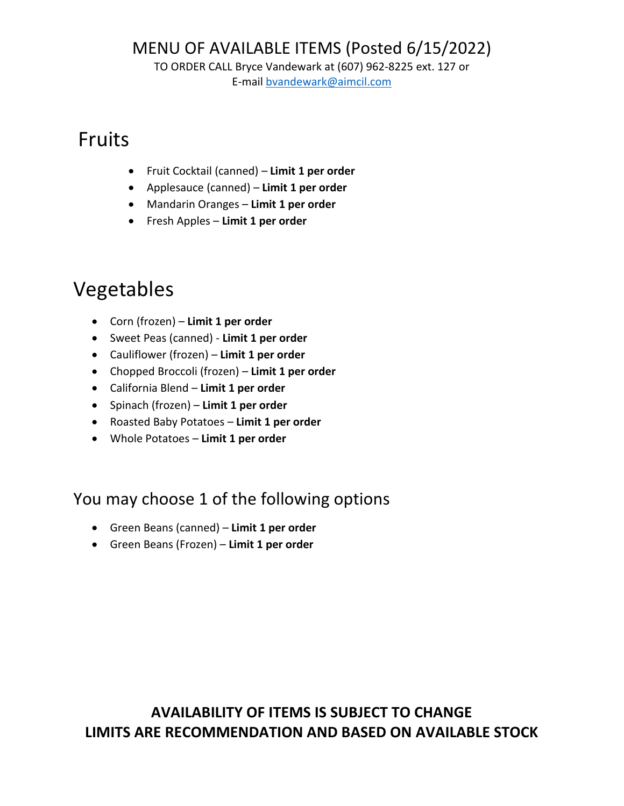TO ORDER CALL Bryce Vandewark at (607) 962-8225 ext. 127 or

E-mail [bvandewark@aimcil.com](mailto:bvandewark@aimcil.com)

## Fruits

- Fruit Cocktail (canned) **Limit 1 per order**
- Applesauce (canned) **Limit 1 per order**
- Mandarin Oranges **Limit 1 per order**
- Fresh Apples **Limit 1 per order**

# Vegetables

- Corn (frozen) **Limit 1 per order**
- Sweet Peas (canned) **Limit 1 per order**
- Cauliflower (frozen) **Limit 1 per order**
- Chopped Broccoli (frozen) **Limit 1 per order**
- California Blend **Limit 1 per order**
- Spinach (frozen) **Limit 1 per order**
- Roasted Baby Potatoes **Limit 1 per order**
- Whole Potatoes **Limit 1 per order**

#### You may choose 1 of the following options

- Green Beans (canned) **Limit 1 per order**
- Green Beans (Frozen) **Limit 1 per order**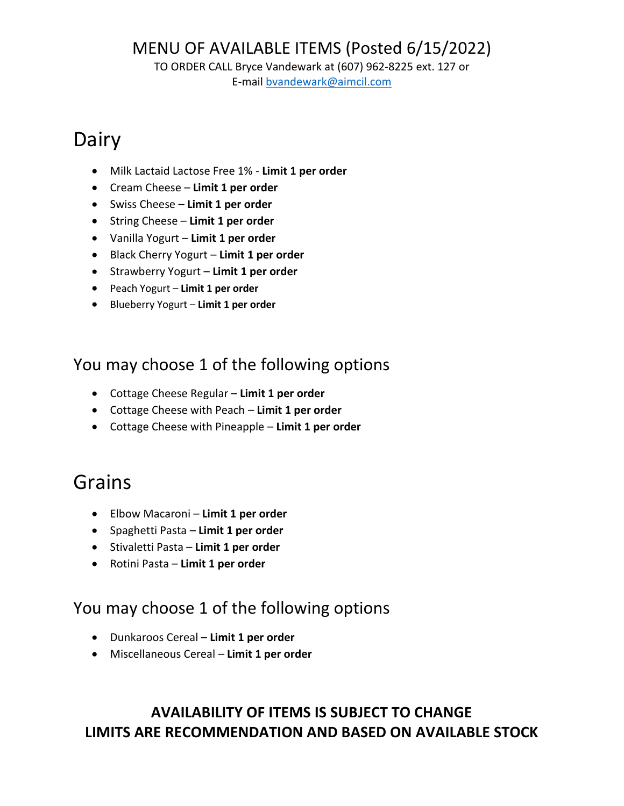TO ORDER CALL Bryce Vandewark at (607) 962-8225 ext. 127 or

E-mail [bvandewark@aimcil.com](mailto:bvandewark@aimcil.com)

# Dairy

- Milk Lactaid Lactose Free 1% **Limit 1 per order**
- Cream Cheese **Limit 1 per order**
- Swiss Cheese **Limit 1 per order**
- String Cheese **Limit 1 per order**
- Vanilla Yogurt **Limit 1 per order**
- Black Cherry Yogurt **Limit 1 per order**
- Strawberry Yogurt **Limit 1 per order**
- Peach Yogurt **Limit 1 per order**
- Blueberry Yogurt **Limit 1 per order**

#### You may choose 1 of the following options

- Cottage Cheese Regular **Limit 1 per order**
- Cottage Cheese with Peach **Limit 1 per order**
- Cottage Cheese with Pineapple **Limit 1 per order**

## Grains

- Elbow Macaroni **Limit 1 per order**
- Spaghetti Pasta **Limit 1 per order**
- Stivaletti Pasta **Limit 1 per order**
- Rotini Pasta **Limit 1 per order**

#### You may choose 1 of the following options

- Dunkaroos Cereal **Limit 1 per order**
- Miscellaneous Cereal **Limit 1 per order**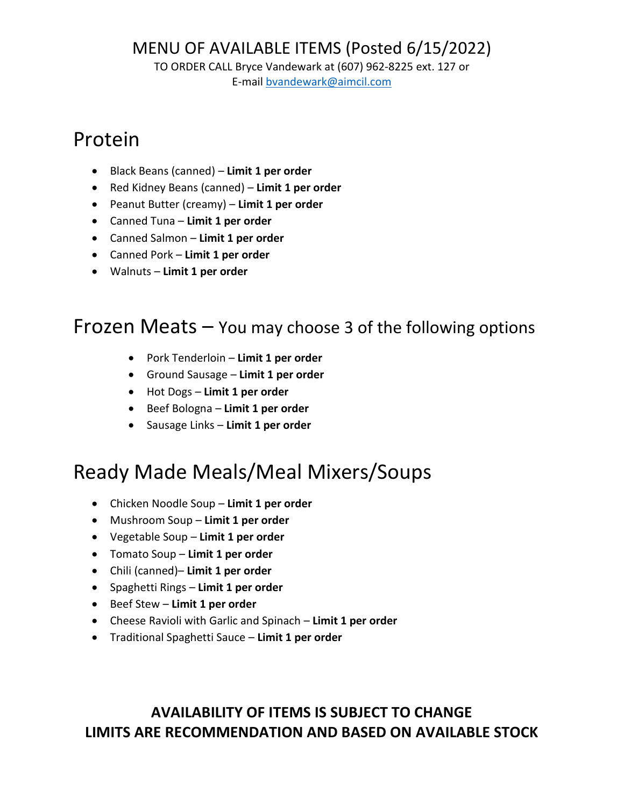TO ORDER CALL Bryce Vandewark at (607) 962-8225 ext. 127 or

E-mail [bvandewark@aimcil.com](mailto:bvandewark@aimcil.com)

## Protein

- Black Beans (canned) **Limit 1 per order**
- Red Kidney Beans (canned) **Limit 1 per order**
- Peanut Butter (creamy) **Limit 1 per order**
- Canned Tuna **Limit 1 per order**
- Canned Salmon **Limit 1 per order**
- Canned Pork **Limit 1 per order**
- Walnuts **Limit 1 per order**

#### Frozen Meats – You may choose 3 of the following options

- Pork Tenderloin **Limit 1 per order**
- Ground Sausage **Limit 1 per order**
- Hot Dogs **Limit 1 per order**
- Beef Bologna **Limit 1 per order**
- Sausage Links **Limit 1 per order**

## Ready Made Meals/Meal Mixers/Soups

- Chicken Noodle Soup **Limit 1 per order**
- Mushroom Soup **Limit 1 per order**
- Vegetable Soup **Limit 1 per order**
- Tomato Soup **Limit 1 per order**
- Chili (canned)– **Limit 1 per order**
- Spaghetti Rings **Limit 1 per order**
- Beef Stew **Limit 1 per order**
- Cheese Ravioli with Garlic and Spinach **Limit 1 per order**
- Traditional Spaghetti Sauce **Limit 1 per order**